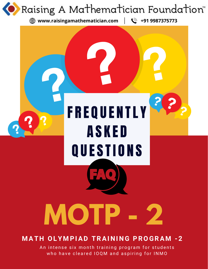

# **M AT H OLY M PIAD TRAI N I N G PROGRA M - 2**

An intense six month training program for students who have cleared IOQM and aspiring for INMO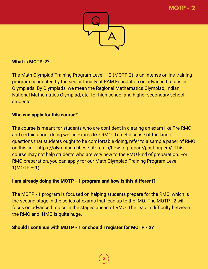

### **What is MOTP-2?**

The Math Olympiad Training Program Level  $-2$  (MOTP-2) is an intense online training program conducted by the senior faculty at RAM Foundation on advanced topics in Olympiads. By Olympiads, we mean the Regional Mathematics Olympiad, Indian National Mathematics Olympiad, etc. for high school and higher secondary school students.

### **Who can apply for this course?**

The course is meant for students who are confident in clearing an exam like Pre-RMO and certain about doing well in exams like RMO. To get a sense of the kind of questions that students ought to be comfortable doing, refer to a sample paper of RMO on this link. https://olympiads.hbcse.tifr.res.in/how-to-prepare/past-papers/. This course may not help students who are very new to the RMO kind of preparation. For RMO preparation, you can apply for our Math Olympiad Training Program Level –  $1(MOTP - 1)$ .

# **I am already doing the MOTP - 1 program and how is this different?**

The MOTP - 1 program is focused on helping students prepare for the RMO, which is the second stage in the series of exams that lead up to the IMO. The MOTP - 2 will focus on advanced topics in the stages ahead of RMO. The leap in difficulty between the RMO and INMO is quite huge.

### **Should I continue with MOTP - 1 or should I register for MOTP - 2?**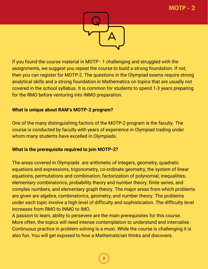

If you found the course material in MOTP - 1 challenging and struggled with the assignments, we suggest you repeat the course to build a strong foundation. If not, then you can register for MOTP-2. The questions in the Olympiad exams require strong analytical skills and a strong foundation in Mathematics on topics that are usually not covered in the school syllabus. It is common for students to spend 1-3 years preparing for the RMO before venturing into INMO preparation.

# **What is unique about RAM's MOTP-2 program?**

One of the many distinguishing factors of the MOTP-2 program is the faculty. The course is conducted by faculty with years of experience in Olympiad trading under whom many students have excelled in Olympiads.

# **What is the prerequisite required to join MOTP-2?**

The areas covered in Olympiads are arithmetic of integers, geometry, quadratic equations and expressions, trigonometry, co-ordinate geometry, the system of linear equations, permutations and combination, factorization of polynomial, inequalities, elementary combinatorics, probability theory and number theory, finite series, and complex numbers, and elementary graph theory. The major areas from which problems are given are algebra, combinatorics, geometry, and number theory. The problems under each topic involve a high level of difficulty and sophistication. The difficulty level increases from RMO to INMO to IMO.

A passion to learn, ability to persevere are the main prerequisites for this course. More often, the topics will need intense contemplation to understand and internalise. Continuous practice in problem solving is a must. While the course is challenging it is also fun. You will get exposed to how a Mathematician thinks and discovers.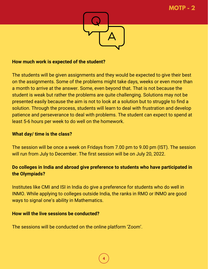

#### **How much work is expected of the student?**

The students will be given assignments and they would be expected to give their best on the assignments. Some of the problems might take days, weeks or even more than a month to arrive at the answer. Some, even beyond that. That is not because the student is weak but rather the problems are quite challenging. Solutions may not be presented easily because the aim is not to look at a solution but to struggle to find a solution. Through the process, students will learn to deal with frustration and develop patience and perseverance to deal with problems. The student can expect to spend at least 5-6 hours per week to do well on the homework.

#### **What day/ time is the class?**

The session will be once a week on Fridays from 7.00 pm to 9.00 pm (IST). The session will run from July to December. The first session will be on July 20, 2022.

# **Do colleges in India and abroad give preference to students who have participated in the Olympiads?**

Institutes like CMI and ISI in India do give a preference for students who do well in INMO. While applying to colleges outside India, the ranks in RMO or INMO are good ways to signal one's ability in Mathematics.

#### **How will the live sessions be conducted?**

The sessions will be conducted on the online platform 'Zoom'.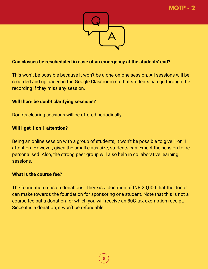

### **Can classes be rescheduled in case of an emergency at the students' end?**

This won't be possible because it won't be a one-on-one session. All sessions will be recorded and uploaded in the Google Classroom so that students can go through the recording if they miss any session.

#### **Will there be doubt clarifying sessions?**

Doubts clearing sessions will be offered periodically.

### **Will I get 1 on 1 attention?**

Being an online session with a group of students, it won't be possible to give 1 on 1 attention. However, given the small class size, students can expect the session to be personalised. Also, the strong peer group will also help in collaborative learning sessions.

#### **What is the course fee?**

The foundation runs on donations. There is a donation of INR 20,000 that the donor can make towards the foundation for sponsoring one student. Note that this is not a course fee but a donation for which you will receive an 80G tax exemption receipt. Since it is a donation, it won't be refundable.